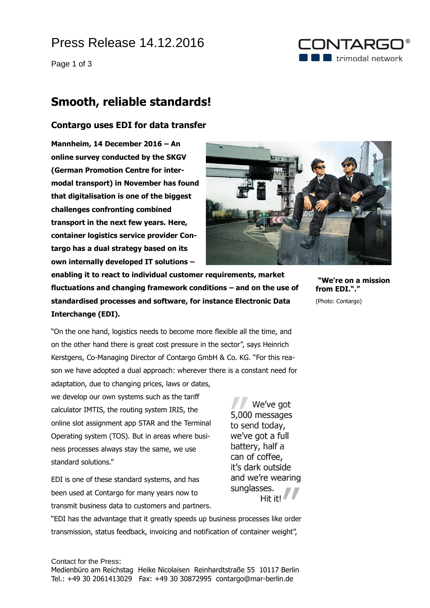# Press Release 14.12.2016

Page 1 of 3

### CONTARGO  $\blacksquare$  trimodal network

### **Smooth, reliable standards!**

### **Contargo uses EDI for data transfer**

**Mannheim, 14 December 2016 – An online survey conducted by the SKGV (German Promotion Centre for intermodal transport) in November has found that digitalisation is one of the biggest challenges confronting combined transport in the next few years. Here, container logistics service provider Contargo has a dual strategy based on its own internally developed IT solutions –**



**enabling it to react to individual customer requirements, market fluctuations and changing framework conditions – and on the use of standardised processes and software, for instance Electronic Data Interchange (EDI).**

**"We're on a mission from EDI."."** (Photo: Contargo)

"On the one hand, logistics needs to become more flexible all the time, and on the other hand there is great cost pressure in the sector", says Heinrich Kerstgens, Co-Managing Director of Contargo GmbH & Co. KG. "For this reason we have adopted a dual approach: wherever there is a constant need for adaptation, due to changing prices, laws or dates,

we develop our own systems such as the tariff calculator IMTIS, the routing system IRIS, the online slot assignment app STAR and the Terminal Operating system (TOS). But in areas where business processes always stay the same, we use standard solutions."

EDI is one of these standard systems, and has been used at Contargo for many years now to transmit business data to customers and partners.

We've got 5,000 messages to send today, we've got a full battery, half a can of coffee, it's dark outside and we're wearing sunglasses. Hit it!

"EDI has the advantage that it greatly speeds up business processes like order transmission, status feedback, invoicing and notification of container weight",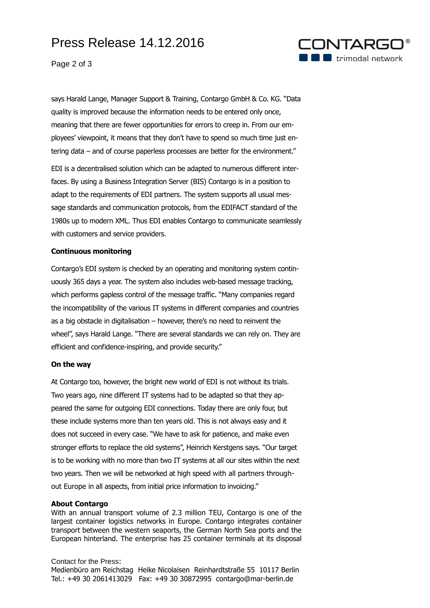# Press Release 14.12.2016



Page 2 of 3

says Harald Lange, Manager Support & Training, Contargo GmbH & Co. KG. "Data quality is improved because the information needs to be entered only once, meaning that there are fewer opportunities for errors to creep in. From our employees' viewpoint, it means that they don't have to spend so much time just entering data – and of course paperless processes are better for the environment."

EDI is a decentralised solution which can be adapted to numerous different interfaces. By using a Business Integration Server (BIS) Contargo is in a position to adapt to the requirements of EDI partners. The system supports all usual message standards and communication protocols, from the EDIFACT standard of the 1980s up to modern XML. Thus EDI enables Contargo to communicate seamlessly with customers and service providers.

#### **Continuous monitoring**

Contargo's EDI system is checked by an operating and monitoring system continuously 365 days a year. The system also includes web-based message tracking, which performs gapless control of the message traffic. "Many companies regard the incompatibility of the various IT systems in different companies and countries as a big obstacle in digitalisation – however, there's no need to reinvent the wheel", says Harald Lange. "There are several standards we can rely on. They are efficient and confidence-inspiring, and provide security."

#### **On the way**

At Contargo too, however, the bright new world of EDI is not without its trials. Two years ago, nine different IT systems had to be adapted so that they appeared the same for outgoing EDI connections. Today there are only four, but these include systems more than ten years old. This is not always easy and it does not succeed in every case. "We have to ask for patience, and make even stronger efforts to replace the old systems", Heinrich Kerstgens says. "Our target is to be working with no more than two IT systems at all our sites within the next two years. Then we will be networked at high speed with all partners throughout Europe in all aspects, from initial price information to invoicing."

#### **About Contargo**

With an annual transport volume of 2.3 million TEU, Contargo is one of the largest container logistics networks in Europe. Contargo integrates container transport between the western seaports, the German North Sea ports and the European hinterland. The enterprise has 25 container terminals at its disposal